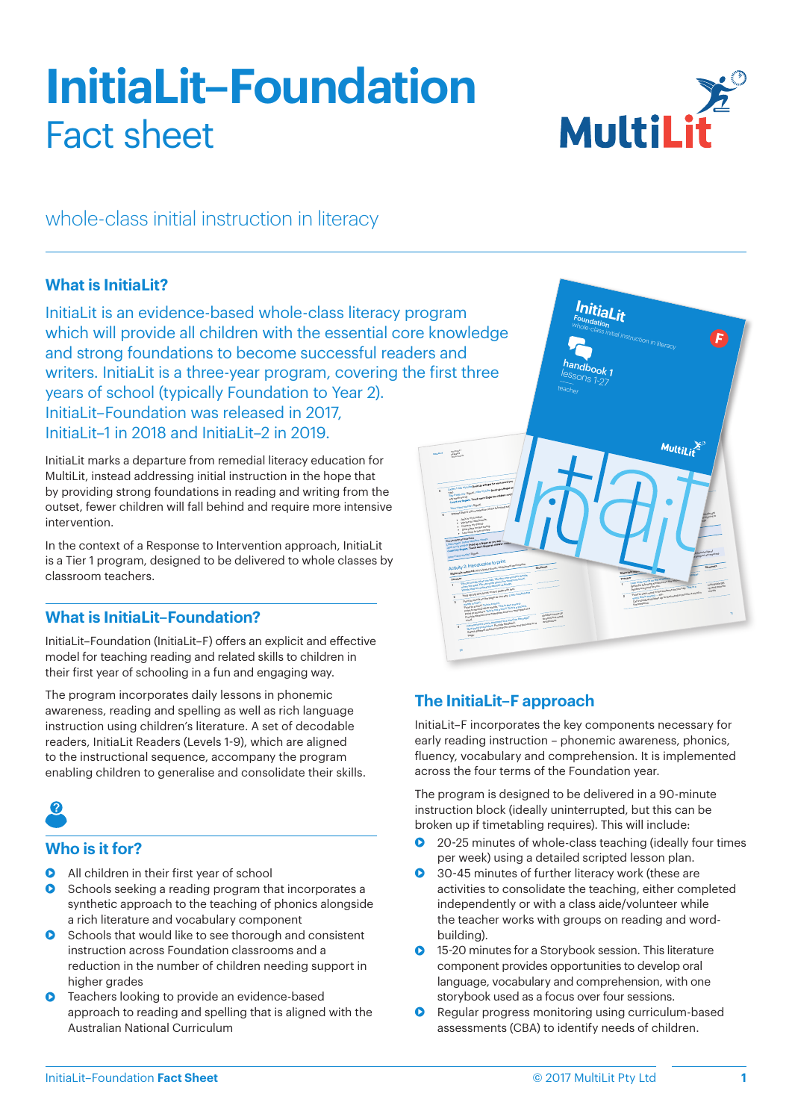# **InitiaLit–Foundation** Fact sheet



whole-class initial instruction in literacy

## **What is InitiaLit?**

InitiaLit is an evidence-based whole-class literacy program which will provide all children with the essential core knowledge and strong foundations to become successful readers and writers. InitiaLit is a three-year program, covering the first three years of school (typically Foundation to Year 2). InitiaLit–Foundation was released in 2017, InitiaLit–1 in 2018 and InitiaLit–2 in 2019.

InitiaLit marks a departure from remedial literacy education for MultiLit, instead addressing initial instruction in the hope that by providing strong foundations in reading and writing from the outset, fewer children will fall behind and require more intensive intervention.

In the context of a Response to Intervention approach, InitiaLit is a Tier 1 program, designed to be delivered to whole classes by classroom teachers.

# **What is InitiaLit–Foundation?**

InitiaLit–Foundation (InitiaLit–F) offers an explicit and effective model for teaching reading and related skills to children in their first year of schooling in a fun and engaging way.

The program incorporates daily lessons in phonemic awareness, reading and spelling as well as rich language instruction using children's literature. A set of decodable readers, InitiaLit Readers (Levels 1-9), which are aligned to the instructional sequence, accompany the program enabling children to generalise and consolidate their skills.



## **Who is it for?**

- **•** All children in their first year of school
- **•** Schools seeking a reading program that incorporates a synthetic approach to the teaching of phonics alongside a rich literature and vocabulary component
- **•** Schools that would like to see thorough and consistent instruction across Foundation classrooms and a reduction in the number of children needing support in higher grades
- **•** Teachers looking to provide an evidence-based approach to reading and spelling that is aligned with the Australian National Curriculum



# **The InitiaLit–F approach**

InitiaLit–F incorporates the key components necessary for early reading instruction – phonemic awareness, phonics, fluency, vocabulary and comprehension. It is implemented across the four terms of the Foundation year.

The program is designed to be delivered in a 90-minute instruction block (ideally uninterrupted, but this can be broken up if timetabling requires). This will include:

- 20-25 minutes of whole-class teaching (ideally four times per week) using a detailed scripted lesson plan.
- 30-45 minutes of further literacy work (these are activities to consolidate the teaching, either completed independently or with a class aide/volunteer while the teacher works with groups on reading and wordbuilding).
- **•** 15-20 minutes for a Storybook session. This literature component provides opportunities to develop oral language, vocabulary and comprehension, with one storybook used as a focus over four sessions.
- **•** Regular progress monitoring using curriculum-based assessments (CBA) to identify needs of children.